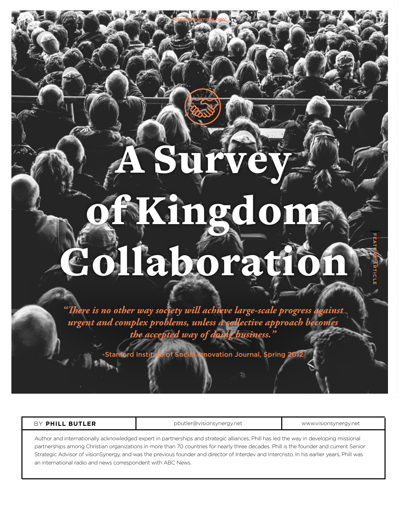# of Kingdom Collaboration

A Survey

**MISSIONFRONTIERS.ORG**

**FEATURE ARTICLE**

*"There is no other way society will achieve large-scale progress against urgent and complex problems, unless a collective approach becomes the accepted way of doing business."* 

ord Institute of Social Innovation Journal, Spring 2012

| BY PHILL BUTLER | pbutler@visionsynergy.net                                                                                                              | www.visionsynergy.net |
|-----------------|----------------------------------------------------------------------------------------------------------------------------------------|-----------------------|
|                 | Author and internationally acknowledged expert in partnerships and strategic alliances, Phill has led the way in developing missional  |                       |
|                 | nartnorships among Christian organizations in more than 70 countries for nearly three decades. Phill is the founder and current Senior |                       |

partnerships among Christian organizations in more than 70 countries for nearly three decades. Phill is the founder and current Senior Strategic Advisor of visionSynergy, and was the previous founder and director of Interdev and Intercristo. In his earlier years, Phill was an international radio and news correspondent with ABC News.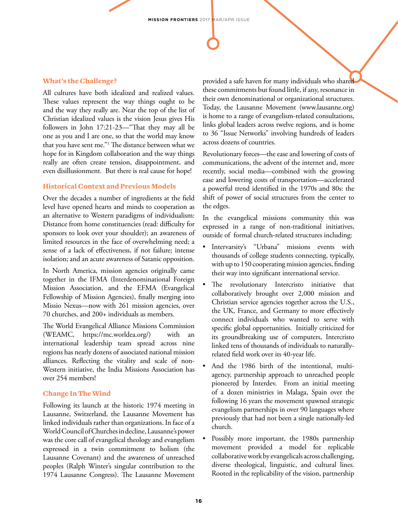## What's the Challenge?

All cultures have both idealized and realized values. These values represent the way things ought to be and the way they really are. Near the top of the list of Christian idealized values is the vision Jesus gives His followers in John 17:21-23—"That they may all be one as you and I are one, so that the world may know that you have sent me."1 The distance between what we hope for in Kingdom collaboration and the way things really are often create tension, disappointment, and even disillusionment. But there is real cause for hope!

## Historical Context and Previous Models

Over the decades a number of ingredients at the field level have opened hearts and minds to cooperation as an alternative to Western paradigms of individualism: Distance from home constituencies (read: difficulty for sponsors to look over your shoulder); an awareness of limited resources in the face of overwhelming need; a sense of a lack of effectiveness, if not failure; intense isolation; and an acute awareness of Satanic opposition.

In North America, mission agencies originally came together in the IFMA (Interdenominational Foreign Mission Association, and the EFMA (Evangelical Fellowship of Mission Agencies), finally merging into Missio Nexus—now with 261 mission agencies, over 70 churches, and 200+ individuals as members.

The World Evangelical Alliance Missions Commission (WEAMC, https://mc.worldea.org/) with an international leadership team spread across nine regions has nearly dozens of associated national mission alliances. Reflecting the vitality and scale of non-Western initiative, the India Missions Association has over 254 members!

## Change In The Wind

Following its launch at the historic 1974 meeting in Lausanne, Switzerland, the Lausanne Movement has linked individuals rather than organizations. In face of a World Council of Churches in decline, Lausanne's power was the core call of evangelical theology and evangelism expressed in a twin commitment to holism (the Lausanne Covenant) and the awareness of unreached peoples (Ralph Winter's singular contribution to the 1974 Lausanne Congress). The Lausanne Movement provided a safe haven for many individuals who shared these commitments but found little, if any, resonance in their own denominational or organizational structures. Today, the Lausanne Movement (www.lausanne.org) is home to a range of evangelism-related consultations, links global leaders across twelve regions, and is home to 36 "Issue Networks" involving hundreds of leaders across dozens of countries.

Revolutionary forces—the ease and lowering of costs of communications, the advent of the internet and, more recently, social media—combined with the growing ease and lowering costs of transportation—accelerated a powerful trend identified in the 1970s and 80s: the shift of power of social structures from the center to the edges.

In the evangelical missions community this was expressed in a range of non-traditional initiatives, outside of formal church-related structures including:

- Intervarsity's "Urbana" missions events with thousands of college students connecting, typically, with up to 150 cooperating mission agencies, finding their way into significant international service.
- The revolutionary Intercristo initiative that collaboratively brought over 2,000 mission and Christian service agencies together across the U.S., the UK, France, and Germany to more effectively connect individuals who wanted to serve with specific global opportunities. Initially criticized for its groundbreaking use of computers, Intercristo linked tens of thousands of individuals to naturallyrelated field work over its 40-year life.
- And the 1986 birth of the intentional, multiagency, partnership approach to unreached people pioneered by Interdev. From an initial meeting of a dozen ministries in Malaga, Spain over the following 16 years the movement spawned strategic evangelism partnerships in over 90 languages where previously that had not been a single nationally-led church.
- Possibly more important, the 1980s partnership movement provided a model for replicable collaborative work by evangelicals across challenging, diverse theological, linguistic, and cultural lines. Rooted in the replicability of the vision, partnership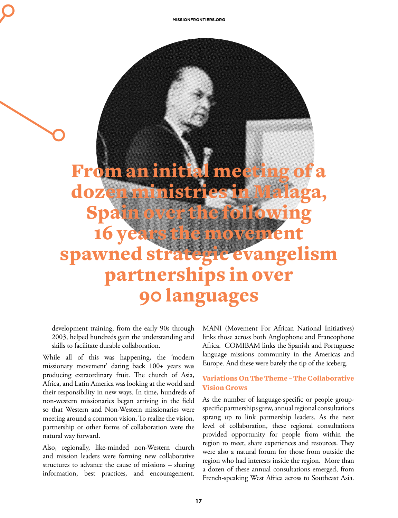From an initial meeting dozen ministri Spain over the following 16 years the movement spawned strategic evangelism partnerships in over 90 languages

development training, from the early 90s through 2003, helped hundreds gain the understanding and skills to facilitate durable collaboration.

While all of this was happening, the 'modern missionary movement' dating back 100+ years was producing extraordinary fruit. The church of Asia, Africa, and Latin America was looking at the world and their responsibility in new ways. In time, hundreds of non-western missionaries began arriving in the field so that Western and Non-Western missionaries were meeting around a common vision. To realize the vision, partnership or other forms of collaboration were the natural way forward.

Also, regionally, like-minded non-Western church and mission leaders were forming new collaborative structures to advance the cause of missions – sharing information, best practices, and encouragement.

MANI (Movement For African National Initiatives) links those across both Anglophone and Francophone Africa. COMIBAM links the Spanish and Portuguese language missions community in the Americas and Europe. And these were barely the tip of the iceberg.

## Variations On The Theme – The Collaborative Vision Grows

As the number of language-specific or people groupspecific partnerships grew, annual regional consultations sprang up to link partnership leaders. As the next level of collaboration, these regional consultations provided opportunity for people from within the region to meet, share experiences and resources. They were also a natural forum for those from outside the region who had interests inside the region. More than a dozen of these annual consultations emerged, from French-speaking West Africa across to Southeast Asia.